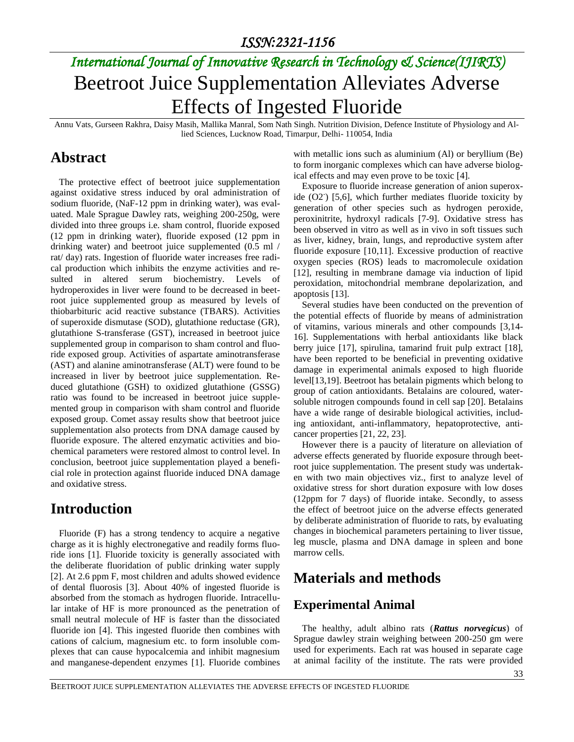# *International Journal of Innovative Research in Technology & Science(IJIRTS)* Beetroot Juice Supplementation Alleviates Adverse Effects of Ingested Fluoride

Annu Vats, Gurseen Rakhra, Daisy Masih, Mallika Manral, Som Nath Singh. Nutrition Division, Defence Institute of Physiology and Allied Sciences, Lucknow Road, Timarpur, Delhi- 110054, India

### **Abstract**

The protective effect of beetroot juice supplementation against oxidative stress induced by oral administration of sodium fluoride, (NaF-12 ppm in drinking water), was evaluated. Male Sprague Dawley rats, weighing 200-250g, were divided into three groups i.e. sham control, fluoride exposed (12 ppm in drinking water), fluoride exposed (12 ppm in drinking water) and beetroot juice supplemented (0.5 ml / rat/ day) rats. Ingestion of fluoride water increases free radical production which inhibits the enzyme activities and resulted in altered serum biochemistry. Levels of hydroperoxides in liver were found to be decreased in beetroot juice supplemented group as measured by levels of thiobarbituric acid reactive substance (TBARS). Activities of superoxide dismutase (SOD), glutathione reductase (GR), glutathione S-transferase (GST), increased in beetroot juice supplemented group in comparison to sham control and fluoride exposed group. Activities of aspartate aminotransferase (AST) and alanine aminotransferase (ALT) were found to be increased in liver by beetroot juice supplementation. Reduced glutathione (GSH) to oxidized glutathione (GSSG) ratio was found to be increased in beetroot juice supplemented group in comparison with sham control and fluoride exposed group. Comet assay results show that beetroot juice supplementation also protects from DNA damage caused by fluoride exposure. The altered enzymatic activities and biochemical parameters were restored almost to control level. In conclusion, beetroot juice supplementation played a beneficial role in protection against fluoride induced DNA damage and oxidative stress.

## **Introduction**

Fluoride (F) has a strong tendency to acquire a negative charge as it is highly electronegative and readily forms fluoride ions [1]. Fluoride toxicity is generally associated with the deliberate fluoridation of public drinking water supply [2]. At 2.6 ppm F, most children and adults showed evidence of dental fluorosis [3]. About 40% of ingested fluoride is absorbed from the stomach as hydrogen fluoride. Intracellular intake of HF is more pronounced as the penetration of small neutral molecule of HF is faster than the dissociated fluoride ion [4]. This ingested fluoride then combines with cations of calcium, magnesium etc. to form insoluble complexes that can cause hypocalcemia and inhibit magnesium and manganese-dependent enzymes [1]. Fluoride combines

with metallic ions such as aluminium (Al) or beryllium (Be) to form inorganic complexes which can have adverse biological effects and may even prove to be toxic [4].

Exposure to fluoride increase generation of anion superoxide  $(O2)$  [5,6], which further mediates fluoride toxicity by generation of other species such as hydrogen peroxide, peroxinitrite, hydroxyl radicals [7-9]. Oxidative stress has been observed in vitro as well as in vivo in soft tissues such as liver, kidney, brain, lungs, and reproductive system after fluoride exposure [10,11]. Excessive production of reactive oxygen species (ROS) leads to macromolecule oxidation [12], resulting in membrane damage via induction of lipid peroxidation, mitochondrial membrane depolarization, and apoptosis [13].

Several studies have been conducted on the prevention of the potential effects of fluoride by means of administration of vitamins, various minerals and other compounds [3,14- 16]. Supplementations with herbal antioxidants like black berry juice [17], spirulina, tamarind fruit pulp extract [18], have been reported to be beneficial in preventing oxidative damage in experimental animals exposed to high fluoride level[13,19]. Beetroot has betalain pigments which belong to group of cation antioxidants. Betalains are coloured, watersoluble nitrogen compounds found in cell sap [20]. Betalains have a wide range of desirable biological activities, including antioxidant, anti-inflammatory, hepatoprotective, anticancer properties [21, 22, 23].

However there is a paucity of literature on alleviation of adverse effects generated by fluoride exposure through beetroot juice supplementation. The present study was undertaken with two main objectives viz., first to analyze level of oxidative stress for short duration exposure with low doses (12ppm for 7 days) of fluoride intake. Secondly, to assess the effect of beetroot juice on the adverse effects generated by deliberate administration of fluoride to rats, by evaluating changes in biochemical parameters pertaining to liver tissue, leg muscle, plasma and DNA damage in spleen and bone marrow cells.

## **Materials and methods**

### **Experimental Animal**

The healthy, adult albino rats (*Rattus norvegicus*) of Sprague dawley strain weighing between 200-250 gm were used for experiments. Each rat was housed in separate cage at animal facility of the institute. The rats were provided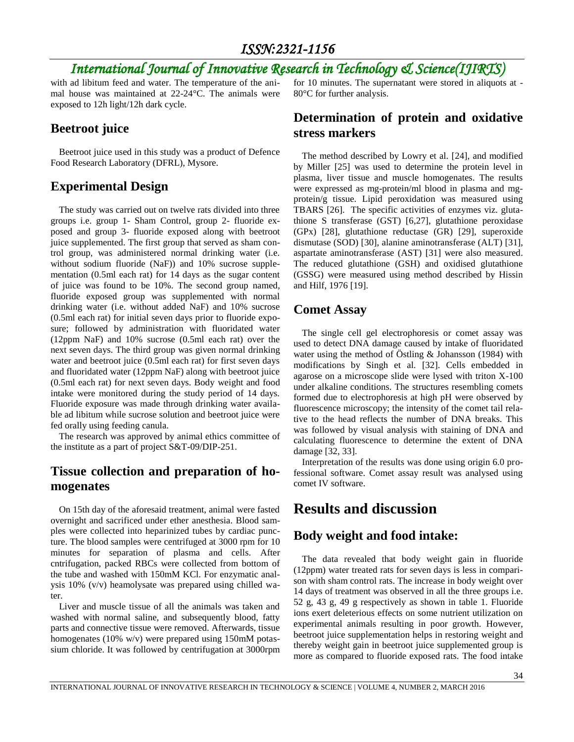# *International Journal of Innovative Research in Technology & Science(IJIRTS)*

with ad libitum feed and water. The temperature of the animal house was maintained at 22-24°C. The animals were exposed to 12h light/12h dark cycle.

### **Beetroot juice**

Beetroot juice used in this study was a product of Defence Food Research Laboratory (DFRL), Mysore.

### **Experimental Design**

The study was carried out on twelve rats divided into three groups i.e. group 1- Sham Control, group 2- fluoride exposed and group 3- fluoride exposed along with beetroot juice supplemented. The first group that served as sham control group, was administered normal drinking water (i.e. without sodium fluoride (NaF)) and 10% sucrose supplementation (0.5ml each rat) for 14 days as the sugar content of juice was found to be 10%. The second group named, fluoride exposed group was supplemented with normal drinking water (i.e. without added NaF) and 10% sucrose (0.5ml each rat) for initial seven days prior to fluoride exposure; followed by administration with fluoridated water (12ppm NaF) and 10% sucrose (0.5ml each rat) over the next seven days. The third group was given normal drinking water and beetroot juice (0.5ml each rat) for first seven days and fluoridated water (12ppm NaF) along with beetroot juice (0.5ml each rat) for next seven days. Body weight and food intake were monitored during the study period of 14 days. Fluoride exposure was made through drinking water available ad libitum while sucrose solution and beetroot juice were fed orally using feeding canula.

The research was approved by animal ethics committee of the institute as a part of project S&T-09/DIP-251.

### **Tissue collection and preparation of homogenates**

On 15th day of the aforesaid treatment, animal were fasted overnight and sacrificed under ether anesthesia. Blood samples were collected into heparinized tubes by cardiac puncture. The blood samples were centrifuged at 3000 rpm for 10 minutes for separation of plasma and cells. After cntrifugation, packed RBCs were collected from bottom of the tube and washed with 150mM KCl. For enzymatic analysis 10% (v/v) heamolysate was prepared using chilled water.

Liver and muscle tissue of all the animals was taken and washed with normal saline, and subsequently blood, fatty parts and connective tissue were removed. Afterwards, tissue homogenates (10% w/v) were prepared using 150mM potassium chloride. It was followed by centrifugation at 3000rpm for 10 minutes. The supernatant were stored in aliquots at - 80°C for further analysis.

#### **Determination of protein and oxidative stress markers**

The method described by Lowry et al. [24], and modified by Miller [25] was used to determine the protein level in plasma, liver tissue and muscle homogenates. The results were expressed as mg-protein/ml blood in plasma and mgprotein/g tissue. Lipid peroxidation was measured using TBARS [26]. The specific activities of enzymes viz. glutathione S transferase (GST) [6,27], glutathione peroxidase (GPx) [28], glutathione reductase (GR) [29], superoxide dismutase (SOD) [30], alanine aminotransferase (ALT) [31], aspartate aminotransferase (AST) [31] were also measured. The reduced glutathione (GSH) and oxidised glutathione (GSSG) were measured using method described by Hissin and Hilf, 1976 [19].

### **Comet Assay**

The single cell gel electrophoresis or comet assay was used to detect DNA damage caused by intake of fluoridated water using the method of Östling & Johansson (1984) with modifications by Singh et al. [32]. Cells embedded in agarose on a microscope slide were lysed with triton X-100 under alkaline conditions. The structures resembling comets formed due to electrophoresis at high pH were observed by fluorescence microscopy; the intensity of the comet tail relative to the head reflects the number of DNA breaks. This was followed by visual analysis with staining of DNA and calculating fluorescence to determine the extent of DNA damage [32, 33].

Interpretation of the results was done using origin 6.0 professional software. Comet assay result was analysed using comet IV software.

# **Results and discussion**

### **Body weight and food intake:**

The data revealed that body weight gain in fluoride (12ppm) water treated rats for seven days is less in comparison with sham control rats. The increase in body weight over 14 days of treatment was observed in all the three groups i.e. 52 g, 43 g, 49 g respectively as shown in table 1. Fluoride ions exert deleterious effects on some nutrient utilization on experimental animals resulting in poor growth. However, beetroot juice supplementation helps in restoring weight and thereby weight gain in beetroot juice supplemented group is more as compared to fluoride exposed rats. The food intake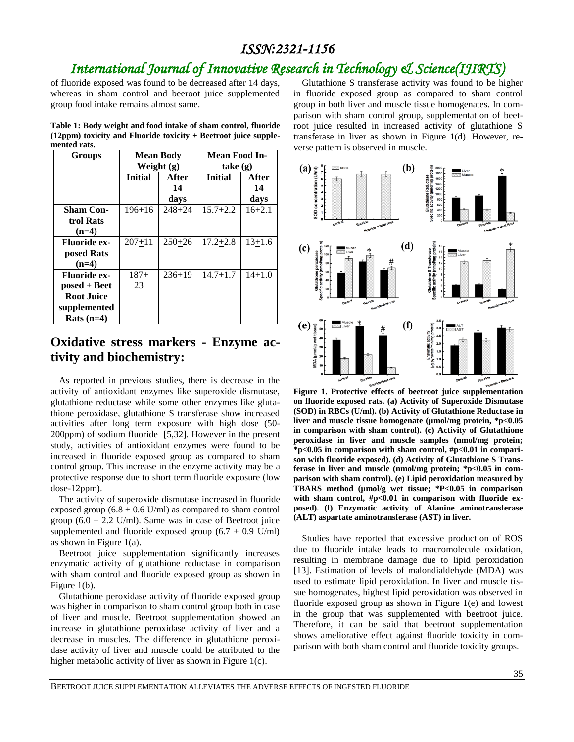# *International Journal of Innovative Research in Technology & Science(IJIRTS)*

of fluoride exposed was found to be decreased after 14 days, whereas in sham control and beeroot juice supplemented group food intake remains almost same.

**Table 1: Body weight and food intake of sham control, fluoride (12ppm) toxicity and Fluoride toxicity + Beetroot juice supplemented rats.**

| Groups              | <b>Mean Body</b><br>Weight (g) |            | Mean Food In-<br>$\mathbf{take}(\mathbf{g})$ |            |
|---------------------|--------------------------------|------------|----------------------------------------------|------------|
|                     | <b>Initial</b>                 | After      | <b>Initial</b>                               | After      |
|                     |                                | 14         |                                              | 14         |
|                     |                                | days       |                                              | days       |
| <b>Sham Con-</b>    | $196 + 16$                     | $248 + 24$ | $15.7 + 2.2$                                 | $16 + 2.1$ |
| trol Rats           |                                |            |                                              |            |
| $(n=4)$             |                                |            |                                              |            |
| <b>Fluoride ex-</b> | $207 + 11$                     | $250+26$   | $17.2 + 2.8$                                 | $13+1.6$   |
| posed Rats          |                                |            |                                              |            |
| $(n=4)$             |                                |            |                                              |            |
| <b>Fluoride ex-</b> | $187+$                         | $236+19$   | $14.7 + 1.7$                                 | $14 + 1.0$ |
| $posed + Beet$      | 23                             |            |                                              |            |
| <b>Root Juice</b>   |                                |            |                                              |            |
| supplemented        |                                |            |                                              |            |
| Rats $(n=4)$        |                                |            |                                              |            |

#### **Oxidative stress markers - Enzyme activity and biochemistry:**

As reported in previous studies, there is decrease in the activity of antioxidant enzymes like superoxide dismutase, glutathione reductase while some other enzymes like glutathione peroxidase, glutathione S transferase show increased activities after long term exposure with high dose (50- 200ppm) of sodium fluoride [5,32]. However in the present study, activities of antioxidant enzymes were found to be increased in fluoride exposed group as compared to sham control group. This increase in the enzyme activity may be a protective response due to short term fluoride exposure (low dose-12ppm).

The activity of superoxide dismutase increased in fluoride exposed group  $(6.8 \pm 0.6 \text{ U/ml})$  as compared to sham control group  $(6.0 \pm 2.2 \text{ U/ml})$ . Same was in case of Beetroot juice supplemented and fluoride exposed group  $(6.7 \pm 0.9 \text{ U/ml})$ as shown in Figure  $1(a)$ .

Beetroot juice supplementation significantly increases enzymatic activity of glutathione reductase in comparison with sham control and fluoride exposed group as shown in Figure 1(b).

Glutathione peroxidase activity of fluoride exposed group was higher in comparison to sham control group both in case of liver and muscle. Beetroot supplementation showed an increase in glutathione peroxidase activity of liver and a decrease in muscles. The difference in glutathione peroxidase activity of liver and muscle could be attributed to the higher metabolic activity of liver as shown in Figure 1(c).

Glutathione S transferase activity was found to be higher in fluoride exposed group as compared to sham control group in both liver and muscle tissue homogenates. In comparison with sham control group, supplementation of beetroot juice resulted in increased activity of glutathione S transferase in liver as shown in Figure 1(d). However, reverse pattern is observed in muscle.



**Figure 1. Protective effects of beetroot juice supplementation on fluoride exposed rats. (a) Activity of Superoxide Dismutase (SOD) in RBCs (U/ml). (b) Activity of Glutathione Reductase in liver and muscle tissue homogenate (µmol/mg protein, \*p<0.05 in comparison with sham control). (c) Activity of Glutathione peroxidase in liver and muscle samples (nmol/mg protein; \*p<0.05 in comparison with sham control, #p<0.01 in comparison with fluoride exposed). (d) Activity of Glutathione S Transferase in liver and muscle (nmol/mg protein; \*p<0.05 in comparison with sham control). (e) Lipid peroxidation measured by TBARS method (µmol/g wet tissue; \*P<0.05 in comparison with sham control, #p<0.01 in comparison with fluoride exposed). (f) Enzymatic activity of Alanine aminotransferase (ALT) aspartate aminotransferase (AST) in liver.**

Studies have reported that excessive production of ROS due to fluoride intake leads to macromolecule oxidation, resulting in membrane damage due to lipid peroxidation [13]. Estimation of levels of malondialdehyde (MDA) was used to estimate lipid peroxidation. In liver and muscle tissue homogenates, highest lipid peroxidation was observed in fluoride exposed group as shown in Figure 1(e) and lowest in the group that was supplemented with beetroot juice. Therefore, it can be said that beetroot supplementation shows ameliorative effect against fluoride toxicity in comparison with both sham control and fluoride toxicity groups.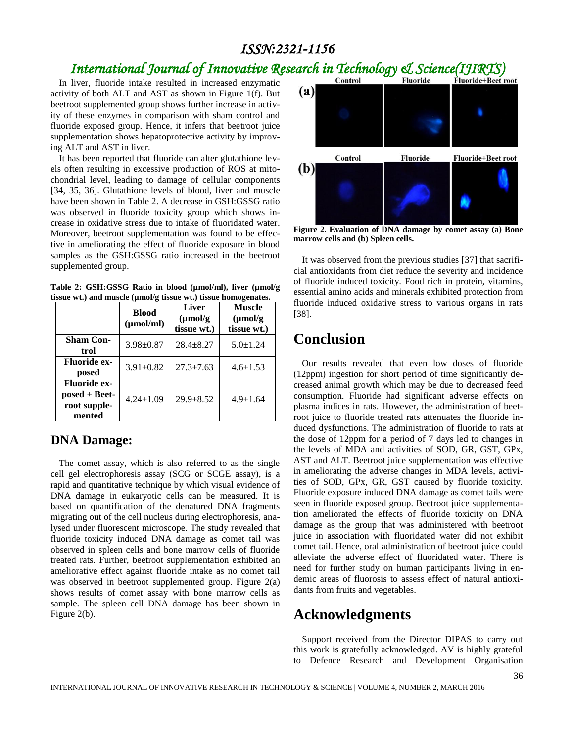# *International Journal of Innovative Research in Technology & Science(IJIRTS)*

In liver, fluoride intake resulted in increased enzymatic activity of both ALT and AST as shown in Figure 1(f). But beetroot supplemented group shows further increase in activity of these enzymes in comparison with sham control and fluoride exposed group. Hence, it infers that beetroot juice supplementation shows hepatoprotective activity by improving ALT and AST in liver.

It has been reported that fluoride can alter glutathione levels often resulting in excessive production of ROS at mitochondrial level, leading to damage of cellular components [34, 35, 36]. Glutathione levels of blood, liver and muscle have been shown in Table 2. A decrease in GSH:GSSG ratio was observed in fluoride toxicity group which shows increase in oxidative stress due to intake of fluoridated water. Moreover, beetroot supplementation was found to be effective in ameliorating the effect of fluoride exposure in blood samples as the GSH:GSSG ratio increased in the beetroot supplemented group.

**Table 2: GSH:GSSG Ratio in blood (µmol/ml), liver (µmol/g tissue wt.) and muscle (µmol/g tissue wt.) tissue homogenates.**

|                                                                  | <b>Blood</b><br>$(\mu \text{mol/ml})$ | <b>Liver</b><br>$(\mu \text{mol/g})$<br>tissue wt.) | <b>Muscle</b><br>$(\mu mol/g)$<br>tissue wt.) |
|------------------------------------------------------------------|---------------------------------------|-----------------------------------------------------|-----------------------------------------------|
| <b>Sham Con-</b><br>trol                                         | $3.98 \pm 0.87$                       | $28.4 + 8.27$                                       | $5.0 \pm 1.24$                                |
| <b>Fluoride ex-</b><br>posed                                     | $3.91 \pm 0.82$                       | $27.3 + 7.63$                                       | $4.6 \pm 1.53$                                |
| <b>Fluoride ex-</b><br>$posed + Beet-$<br>root supple-<br>mented | $4.24 \pm 1.09$                       | $29.9 + 8.52$                                       | $4.9 \pm 1.64$                                |

#### **DNA Damage:**

The comet assay, which is also referred to as the single cell gel electrophoresis assay (SCG or SCGE assay), is a rapid and quantitative technique by which visual evidence of DNA damage in eukaryotic cells can be measured. It is based on quantification of the denatured DNA fragments migrating out of the cell nucleus during electrophoresis, analysed under fluorescent microscope. The study revealed that fluoride toxicity induced DNA damage as comet tail was observed in spleen cells and bone marrow cells of fluoride treated rats. Further, beetroot supplementation exhibited an ameliorative effect against fluoride intake as no comet tail was observed in beetroot supplemented group. Figure 2(a) shows results of comet assay with bone marrow cells as sample. The spleen cell DNA damage has been shown in Figure 2(b).



**Figure 2. Evaluation of DNA damage by comet assay (a) Bone marrow cells and (b) Spleen cells.**

It was observed from the previous studies [37] that sacrificial antioxidants from diet reduce the severity and incidence of fluoride induced toxicity. Food rich in protein, vitamins, essential amino acids and minerals exhibited protection from fluoride induced oxidative stress to various organs in rats [38].

## **Conclusion**

Our results revealed that even low doses of fluoride (12ppm) ingestion for short period of time significantly decreased animal growth which may be due to decreased feed consumption. Fluoride had significant adverse effects on plasma indices in rats. However, the administration of beetroot juice to fluoride treated rats attenuates the fluoride induced dysfunctions. The administration of fluoride to rats at the dose of 12ppm for a period of 7 days led to changes in the levels of MDA and activities of SOD, GR, GST, GPx, AST and ALT. Beetroot juice supplementation was effective in ameliorating the adverse changes in MDA levels, activities of SOD, GPx, GR, GST caused by fluoride toxicity. Fluoride exposure induced DNA damage as comet tails were seen in fluoride exposed group. Beetroot juice supplementation ameliorated the effects of fluoride toxicity on DNA damage as the group that was administered with beetroot juice in association with fluoridated water did not exhibit comet tail. Hence, oral administration of beetroot juice could alleviate the adverse effect of fluoridated water. There is need for further study on human participants living in endemic areas of fluorosis to assess effect of natural antioxidants from fruits and vegetables.

# **Acknowledgments**

Support received from the Director DIPAS to carry out this work is gratefully acknowledged. AV is highly grateful to Defence Research and Development Organisation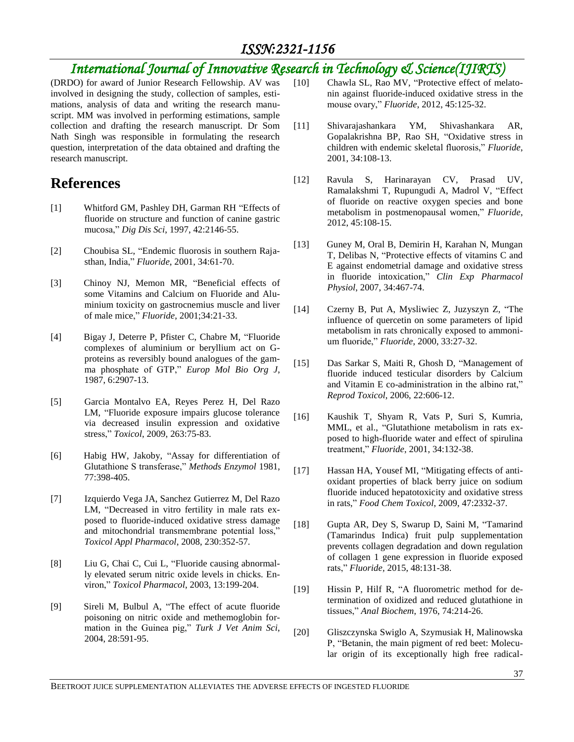# *International Journal of Innovative Research in Technology & Science(IJIRTS)*

(DRDO) for award of Junior Research Fellowship. AV was involved in designing the study, collection of samples, estimations, analysis of data and writing the research manuscript. MM was involved in performing estimations, sample collection and drafting the research manuscript. Dr Som Nath Singh was responsible in formulating the research question, interpretation of the data obtained and drafting the research manuscript.

# **References**

- [1] Whitford GM, Pashley DH, Garman RH "Effects of fluoride on structure and function of canine gastric mucosa," *Dig Dis Sci*, 1997, 42:2146-55.
- [2] Choubisa SL, "Endemic fluorosis in southern Rajasthan, India," *Fluoride*, 2001, 34:61-70.
- [3] Chinoy NJ, Memon MR, "Beneficial effects of some Vitamins and Calcium on Fluoride and Aluminium toxicity on gastrocnemius muscle and liver of male mice," *Fluoride*, 2001;34:21-33.
- [4] Bigay J, Deterre P, Pfister C, Chabre M, "Fluoride complexes of aluminium or beryllium act on Gproteins as reversibly bound analogues of the gamma phosphate of GTP," *Europ Mol Bio Org J*, 1987, 6:2907-13.
- [5] Garcia Montalvo EA, Reyes Perez H, Del Razo LM, "Fluoride exposure impairs glucose tolerance via decreased insulin expression and oxidative stress," *Toxicol*, 2009, 263:75-83.
- [6] Habig HW, Jakoby, "Assay for differentiation of Glutathione S transferase," *Methods Enzymol* 1981, 77:398-405.
- [7] Izquierdo Vega JA, Sanchez Gutierrez M, Del Razo LM, "Decreased in vitro fertility in male rats exposed to fluoride-induced oxidative stress damage and mitochondrial transmembrane potential loss," *Toxicol Appl Pharmacol*, 2008, 230:352-57.
- [8] Liu G, Chai C, Cui L, "Fluoride causing abnormally elevated serum nitric oxide levels in chicks. Environ," *Toxicol Pharmacol*, 2003, 13:199-204.
- [9] Sireli M, Bulbul A, "The effect of acute fluoride poisoning on nitric oxide and methemoglobin formation in the Guinea pig," *Turk J Vet Anim Sci*, 2004, 28:591-95.
- [10] Chawla SL, Rao MV, "Protective effect of melatonin against fluoride-induced oxidative stress in the mouse ovary," *Fluoride*, 2012, 45:125-32.
- [11] Shivarajashankara YM, Shivashankara AR, Gopalakrishna BP, Rao SH, "Oxidative stress in children with endemic skeletal fluorosis," *Fluoride*, 2001, 34:108-13.
- [12] Ravula S, Harinarayan CV, Prasad UV, Ramalakshmi T, Rupungudi A, Madrol V, "Effect of fluoride on reactive oxygen species and bone metabolism in postmenopausal women," *Fluoride*, 2012, 45:108-15.
- [13] Guney M, Oral B, Demirin H, Karahan N, Mungan T, Delibas N, "Protective effects of vitamins C and E against endometrial damage and oxidative stress in fluoride intoxication," *Clin Exp Pharmacol Physiol*, 2007, 34:467-74.
- [14] Czerny B, Put A, Mysliwiec Z, Juzyszyn Z, "The influence of quercetin on some parameters of lipid metabolism in rats chronically exposed to ammonium fluoride," *Fluoride*, 2000, 33:27-32.
- [15] Das Sarkar S, Maiti R, Ghosh D, "Management of fluoride induced testicular disorders by Calcium and Vitamin E co-administration in the albino rat," *Reprod Toxicol*, 2006, 22:606-12.
- [16] Kaushik T, Shyam R, Vats P, Suri S, Kumria, MML, et al., "Glutathione metabolism in rats exposed to high-fluoride water and effect of spirulina treatment," *Fluoride*, 2001, 34:132-38.
- [17] Hassan HA, Yousef MI, "Mitigating effects of antioxidant properties of black berry juice on sodium fluoride induced hepatotoxicity and oxidative stress in rats," *Food Chem Toxicol*, 2009, 47:2332-37.
- [18] Gupta AR, Dey S, Swarup D, Saini M, "Tamarind (Tamarindus Indica) fruit pulp supplementation prevents collagen degradation and down regulation of collagen 1 gene expression in fluoride exposed rats," *Fluoride,* 2015, 48:131-38.
- [19] Hissin P, Hilf R, "A fluorometric method for determination of oxidized and reduced glutathione in tissues," *Anal Biochem*, 1976, 74:214-26.
- [20] Gliszczynska Swiglo A, Szymusiak H, Malinowska P, "Betanin, the main pigment of red beet: Molecular origin of its exceptionally high free radical-